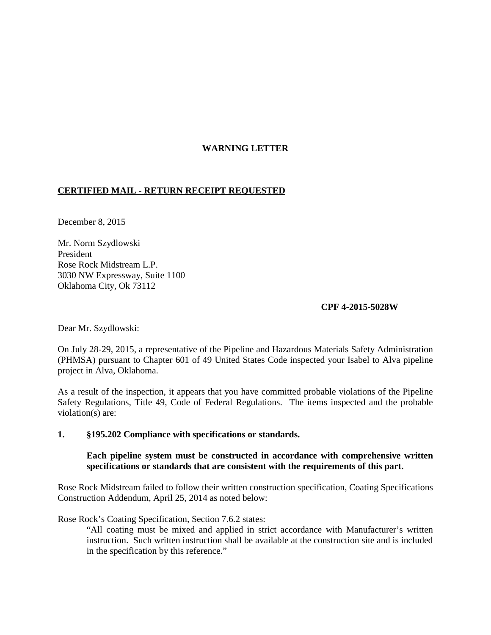# **WARNING LETTER**

## **CERTIFIED MAIL - RETURN RECEIPT REQUESTED**

December 8, 2015

Mr. Norm Szydlowski President Rose Rock Midstream L.P. 3030 NW Expressway, Suite 1100 Oklahoma City, Ok 73112

#### **CPF 4-2015-5028W**

Dear Mr. Szydlowski:

On July 28-29, 2015, a representative of the Pipeline and Hazardous Materials Safety Administration (PHMSA) pursuant to Chapter 601 of 49 United States Code inspected your Isabel to Alva pipeline project in Alva, Oklahoma.

As a result of the inspection, it appears that you have committed probable violations of the Pipeline Safety Regulations, Title 49, Code of Federal Regulations. The items inspected and the probable violation(s) are:

#### **1. §195.202 Compliance with specifications or standards.**

#### **Each pipeline system must be constructed in accordance with comprehensive written specifications or standards that are consistent with the requirements of this part.**

Rose Rock Midstream failed to follow their written construction specification, Coating Specifications Construction Addendum, April 25, 2014 as noted below:

Rose Rock's Coating Specification, Section 7.6.2 states:

"All coating must be mixed and applied in strict accordance with Manufacturer's written instruction. Such written instruction shall be available at the construction site and is included in the specification by this reference."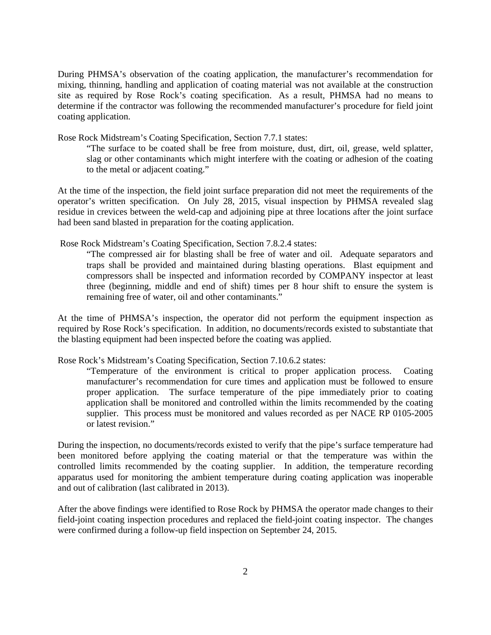During PHMSA's observation of the coating application, the manufacturer's recommendation for mixing, thinning, handling and application of coating material was not available at the construction site as required by Rose Rock's coating specification. As a result, PHMSA had no means to determine if the contractor was following the recommended manufacturer's procedure for field joint coating application.

Rose Rock Midstream's Coating Specification, Section 7.7.1 states:

"The surface to be coated shall be free from moisture, dust, dirt, oil, grease, weld splatter, slag or other contaminants which might interfere with the coating or adhesion of the coating to the metal or adjacent coating."

At the time of the inspection, the field joint surface preparation did not meet the requirements of the operator's written specification. On July 28, 2015, visual inspection by PHMSA revealed slag residue in crevices between the weld-cap and adjoining pipe at three locations after the joint surface had been sand blasted in preparation for the coating application.

Rose Rock Midstream's Coating Specification, Section 7.8.2.4 states:

"The compressed air for blasting shall be free of water and oil. Adequate separators and traps shall be provided and maintained during blasting operations. Blast equipment and compressors shall be inspected and information recorded by COMPANY inspector at least three (beginning, middle and end of shift) times per 8 hour shift to ensure the system is remaining free of water, oil and other contaminants."

At the time of PHMSA's inspection, the operator did not perform the equipment inspection as required by Rose Rock's specification. In addition, no documents/records existed to substantiate that the blasting equipment had been inspected before the coating was applied.

Rose Rock's Midstream's Coating Specification, Section 7.10.6.2 states:

"Temperature of the environment is critical to proper application process. Coating manufacturer's recommendation for cure times and application must be followed to ensure proper application. The surface temperature of the pipe immediately prior to coating application shall be monitored and controlled within the limits recommended by the coating supplier. This process must be monitored and values recorded as per NACE RP 0105-2005 or latest revision."

During the inspection, no documents/records existed to verify that the pipe's surface temperature had been monitored before applying the coating material or that the temperature was within the controlled limits recommended by the coating supplier. In addition, the temperature recording apparatus used for monitoring the ambient temperature during coating application was inoperable and out of calibration (last calibrated in 2013).

After the above findings were identified to Rose Rock by PHMSA the operator made changes to their field-joint coating inspection procedures and replaced the field-joint coating inspector. The changes were confirmed during a follow-up field inspection on September 24, 2015.